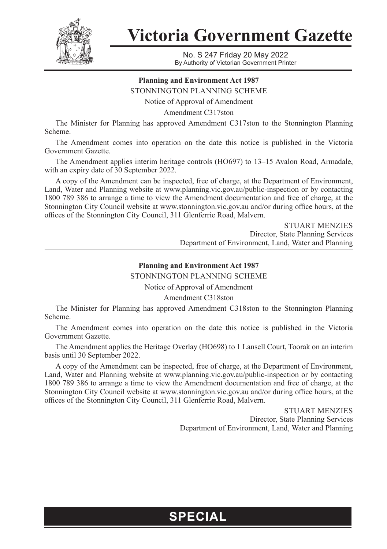

**Victoria Government Gazette**

No. S 247 Friday 20 May 2022 By Authority of Victorian Government Printer

## **Planning and Environment Act 1987**

STONNINGTON PLANNING SCHEME

Notice of Approval of Amendment

Amendment C317ston

The Minister for Planning has approved Amendment C317ston to the Stonnington Planning Scheme.

The Amendment comes into operation on the date this notice is published in the Victoria Government Gazette.

The Amendment applies interim heritage controls (HO697) to 13–15 Avalon Road, Armadale, with an expiry date of 30 September 2022.

A copy of the Amendment can be inspected, free of charge, at the Department of Environment, Land, Water and Planning website at www.planning.vic.gov.au/public-inspection or by contacting 1800 789 386 to arrange a time to view the Amendment documentation and free of charge, at the Stonnington City Council website at www.stonnington.vic.gov.au and/or during office hours, at the offices of the Stonnington City Council, 311 Glenferrie Road, Malvern.

> STUART MENZIES Director, State Planning Services Department of Environment, Land, Water and Planning

## **Planning and Environment Act 1987**

STONNINGTON PLANNING SCHEME

Notice of Approval of Amendment

Amendment C318ston

The Minister for Planning has approved Amendment C318ston to the Stonnington Planning Scheme.

The Amendment comes into operation on the date this notice is published in the Victoria Government Gazette.

The Amendment applies the Heritage Overlay (HO698) to 1 Lansell Court, Toorak on an interim basis until 30 September 2022.

A copy of the Amendment can be inspected, free of charge, at the Department of Environment, Land, Water and Planning website at www.planning.vic.gov.au/public-inspection or by contacting 1800 789 386 to arrange a time to view the Amendment documentation and free of charge, at the Stonnington City Council website at www.stonnington.vic.gov.au and/or during office hours, at the offices of the Stonnington City Council, 311 Glenferrie Road, Malvern.

> STUART MENZIES Director, State Planning Services Department of Environment, Land, Water and Planning

## **SPECIAL**